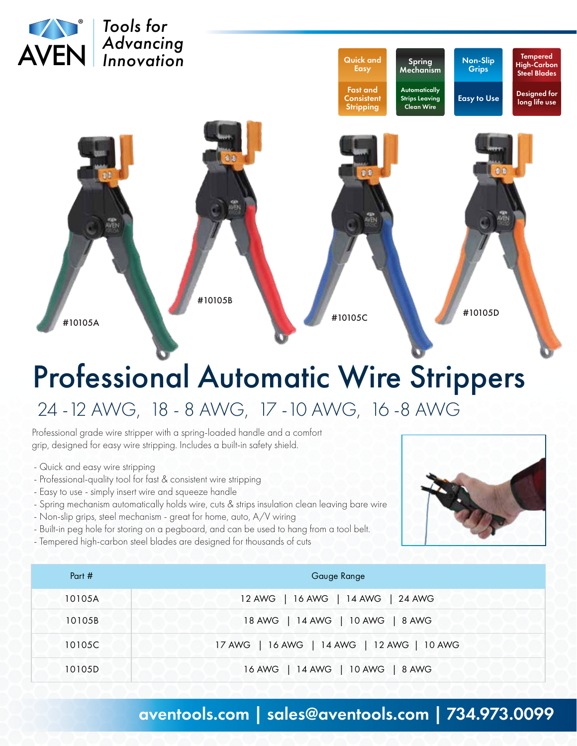

## Professional Automatic Wire Strippers 24 -12 AWG, 18 - 8 AWG, 17 -10 AWG, 16 -8 AWG

Professional grade wire stripper with a spring-loaded handle and a comfort grip, designed for easy wire stripping. Includes a built-in safety shield.

- Quick and easy wire stripping
- Professional-quality tool for fast & consistent wire stripping
- Easy to use simply insert wire and squeeze handle
- Spring mechanism automatically holds wire, cuts & strips insulation clean leaving bare wire
- Non-slip grips, steel mechanism great for home, auto, A/V wiring
- Built-in peg hole for storing on a pegboard, and can be used to hang from a tool belt.
- Tempered high-carbon steel blades are designed for thousands of cuts



| Part # | Gauge Range                                |
|--------|--------------------------------------------|
| 10105A | 12 AWG   16 AWG   14 AWG   24 AWG          |
| 10105B | 18 AWG   14 AWG   10 AWG   8 AWG           |
| 10105C | 17 AWG   16 AWG   14 AWG   12 AWG   10 AWG |
| 10105D | 16 AWG   14 AWG   10 AWG   8 AWG           |